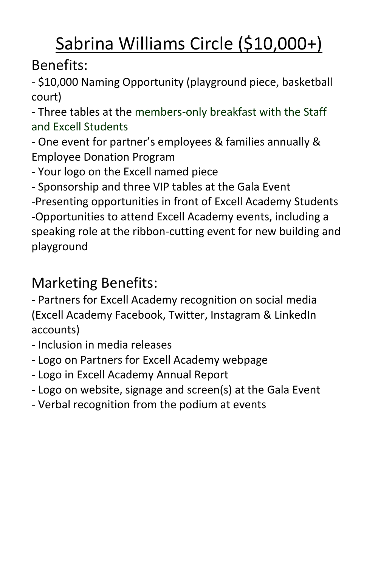# Sabrina Williams Circle (\$10,000+)

### Benefits:

- \$10,000 Naming Opportunity (playground piece, basketball court)

- Three tables at the members-only breakfast with the Staff and Excell Students

- One event for partner's employees & families annually & Employee Donation Program

- Your logo on the Excell named piece

- Sponsorship and three VIP tables at the Gala Event

-Presenting opportunities in front of Excell Academy Students -Opportunities to attend Excell Academy events, including a speaking role at the ribbon-cutting event for new building and playground

### Marketing Benefits:

- Inclusion in media releases
- Logo on Partners for Excell Academy webpage
- Logo in Excell Academy Annual Report
- Logo on website, signage and screen(s) at the Gala Event
- Verbal recognition from the podium at events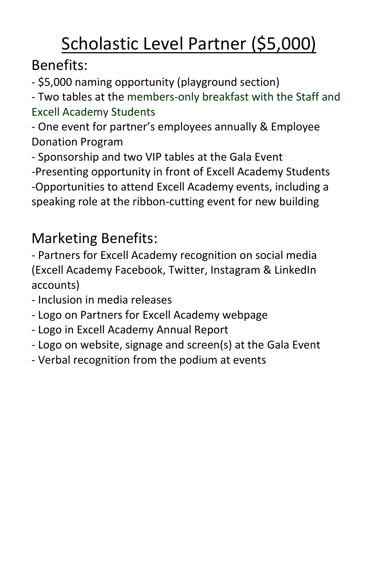# Scholastic Level Partner (\$5,000)

Benefits:

- \$5,000 naming opportunity (playground section)

- Two tables at the members-only breakfast with the Staff and Excell Academy Students

- One event for partner's employees annually & Employee Donation Program

- Sponsorship and two VIP tables at the Gala Event

-Presenting opportunity in front of Excell Academy Students -Opportunities to attend Excell Academy events, including a speaking role at the ribbon-cutting event for new building

## Marketing Benefits:

- Inclusion in media releases
- Logo on Partners for Excell Academy webpage
- Logo in Excell Academy Annual Report
- Logo on website, signage and screen(s) at the Gala Event
- Verbal recognition from the podium at events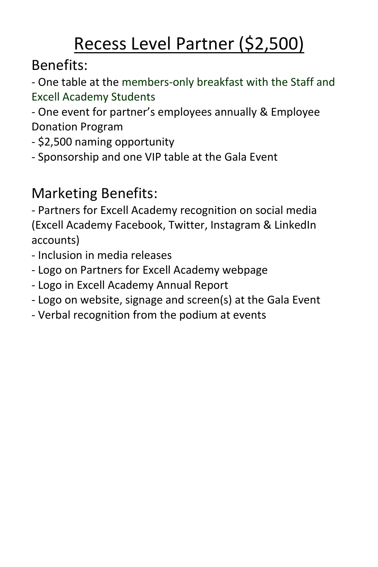## Recess Level Partner (\$2,500)

Benefits:

- One table at the members-only breakfast with the Staff and Excell Academy Students

- One event for partner's employees annually & Employee Donation Program

- \$2,500 naming opportunity
- Sponsorship and one VIP table at the Gala Event

## Marketing Benefits:

- Inclusion in media releases
- Logo on Partners for Excell Academy webpage
- Logo in Excell Academy Annual Report
- Logo on website, signage and screen(s) at the Gala Event
- Verbal recognition from the podium at events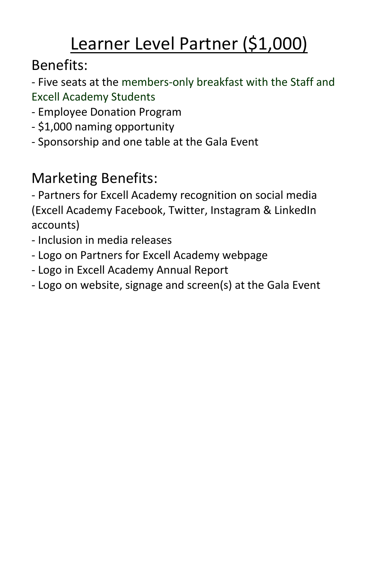# Learner Level Partner (\$1,000)

Benefits:

- Five seats at the members-only breakfast with the Staff and Excell Academy Students

- Employee Donation Program
- \$1,000 naming opportunity
- Sponsorship and one table at the Gala Event

## Marketing Benefits:

- Inclusion in media releases
- Logo on Partners for Excell Academy webpage
- Logo in Excell Academy Annual Report
- Logo on website, signage and screen(s) at the Gala Event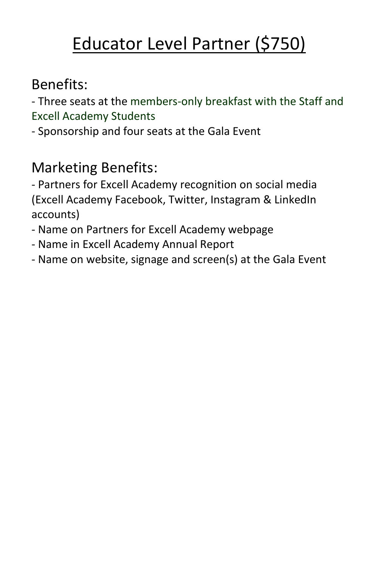## Educator Level Partner (\$750)

#### Benefits:

- Three seats at the members-only breakfast with the Staff and Excell Academy Students

- Sponsorship and four seats at the Gala Event

### Marketing Benefits:

- Name on Partners for Excell Academy webpage
- Name in Excell Academy Annual Report
- Name on website, signage and screen(s) at the Gala Event